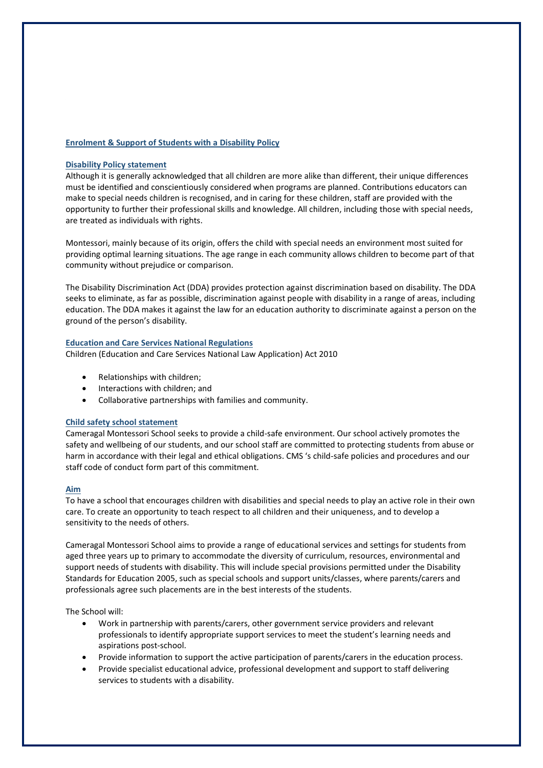## **Enrolment & Support of Students with a Disability Policy**

## **Disability Policy statement**

Although it is generally acknowledged that all children are more alike than different, their unique differences must be identified and conscientiously considered when programs are planned. Contributions educators can make to special needs children is recognised, and in caring for these children, staff are provided with the opportunity to further their professional skills and knowledge. All children, including those with special needs, are treated as individuals with rights.

Montessori, mainly because of its origin, offers the child with special needs an environment most suited for providing optimal learning situations. The age range in each community allows children to become part of that community without prejudice or comparison.

The Disability Discrimination Act (DDA) provides protection against discrimination based on disability. The DDA seeks to eliminate, as far as possible, discrimination against people with disability in a range of areas, including education. The DDA makes it against the law for an education authority to discriminate against a person on the ground of the person's disability.

#### **Education and Care Services National Regulations**

Children (Education and Care Services National Law Application) Act 2010

- Relationships with children;
- Interactions with children; and
- Collaborative partnerships with families and community.

#### **Child safety school statement**

Cameragal Montessori School seeks to provide a child-safe environment. Our school actively promotes the safety and wellbeing of our students, and our school staff are committed to protecting students from abuse or harm in accordance with their legal and ethical obligations. CMS 's child-safe policies and procedures and our staff code of conduct form part of this commitment.

#### **Aim**

To have a school that encourages children with disabilities and special needs to play an active role in their own care. To create an opportunity to teach respect to all children and their uniqueness, and to develop a sensitivity to the needs of others.

Cameragal Montessori School aims to provide a range of educational services and settings for students from aged three years up to primary to accommodate the diversity of curriculum, resources, environmental and support needs of students with disability. This will include special provisions permitted under the Disability Standards for Education 2005, such as special schools and support units/classes, where parents/carers and professionals agree such placements are in the best interests of the students.

The School will:

- Work in partnership with parents/carers, other government service providers and relevant professionals to identify appropriate support services to meet the student's learning needs and aspirations post-school.
- Provide information to support the active participation of parents/carers in the education process.
- Provide specialist educational advice, professional development and support to staff delivering services to students with a disability.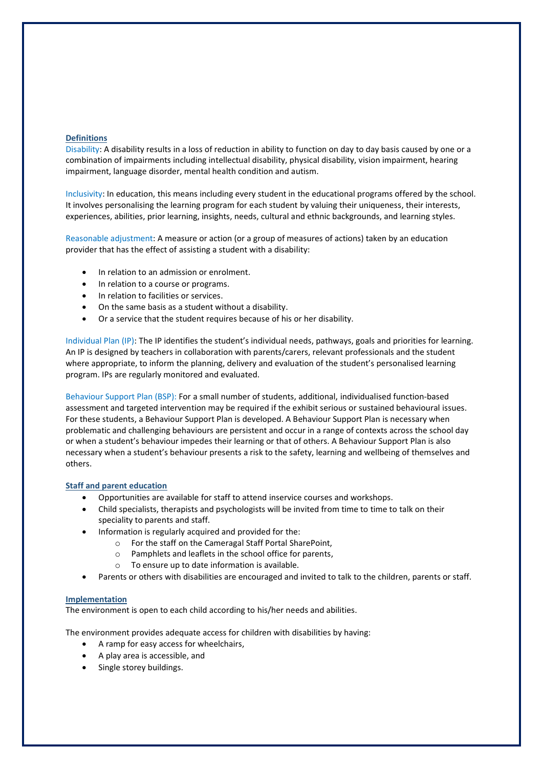## **Definitions**

Disability: A disability results in a loss of reduction in ability to function on day to day basis caused by one or a combination of impairments including intellectual disability, physical disability, vision impairment, hearing impairment, language disorder, mental health condition and autism.

Inclusivity: In education, this means including every student in the educational programs offered by the school. It involves personalising the learning program for each student by valuing their uniqueness, their interests, experiences, abilities, prior learning, insights, needs, cultural and ethnic backgrounds, and learning styles.

Reasonable adjustment: A measure or action (or a group of measures of actions) taken by an education provider that has the effect of assisting a student with a disability:

- In relation to an admission or enrolment.
- In relation to a course or programs.
- In relation to facilities or services.
- On the same basis as a student without a disability.
- Or a service that the student requires because of his or her disability.

Individual Plan (IP): The IP identifies the student's individual needs, pathways, goals and priorities for learning. An IP is designed by teachers in collaboration with parents/carers, relevant professionals and the student where appropriate, to inform the planning, delivery and evaluation of the student's personalised learning program. IPs are regularly monitored and evaluated.

Behaviour Support Plan (BSP): For a small number of students, additional, individualised function-based assessment and targeted intervention may be required if the exhibit serious or sustained behavioural issues. For these students, a Behaviour Support Plan is developed. A Behaviour Support Plan is necessary when problematic and challenging behaviours are persistent and occur in a range of contexts across the school day or when a student's behaviour impedes their learning or that of others. A Behaviour Support Plan is also necessary when a student's behaviour presents a risk to the safety, learning and wellbeing of themselves and others.

#### **Staff and parent education**

- Opportunities are available for staff to attend inservice courses and workshops.
- Child specialists, therapists and psychologists will be invited from time to time to talk on their speciality to parents and staff.
- Information is regularly acquired and provided for the:
	- o For the staff on the Cameragal Staff Portal SharePoint,
	- o Pamphlets and leaflets in the school office for parents,
	- o To ensure up to date information is available.
- Parents or others with disabilities are encouraged and invited to talk to the children, parents or staff.

## **Implementation**

The environment is open to each child according to his/her needs and abilities.

The environment provides adequate access for children with disabilities by having:

- A ramp for easy access for wheelchairs,
- A play area is accessible, and
- Single storey buildings.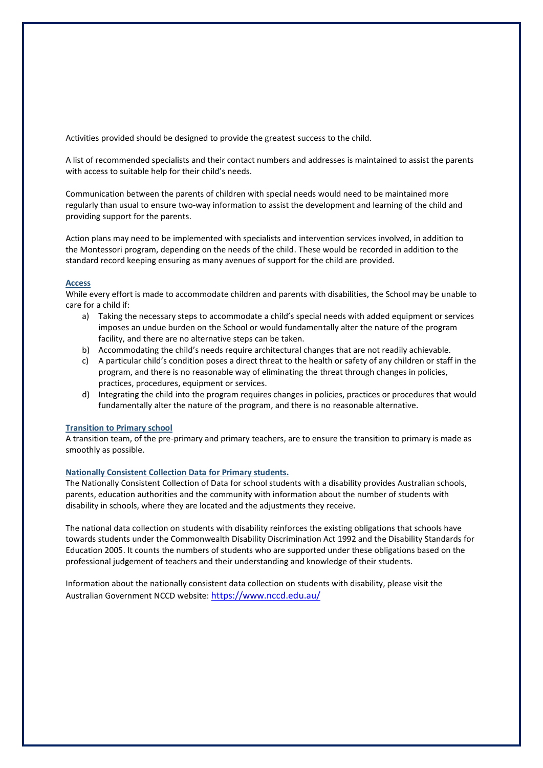Activities provided should be designed to provide the greatest success to the child.

A list of recommended specialists and their contact numbers and addresses is maintained to assist the parents with access to suitable help for their child's needs.

Communication between the parents of children with special needs would need to be maintained more regularly than usual to ensure two-way information to assist the development and learning of the child and providing support for the parents.

Action plans may need to be implemented with specialists and intervention services involved, in addition to the Montessori program, depending on the needs of the child. These would be recorded in addition to the standard record keeping ensuring as many avenues of support for the child are provided.

## **Access**

While every effort is made to accommodate children and parents with disabilities, the School may be unable to care for a child if:

- a) Taking the necessary steps to accommodate a child's special needs with added equipment or services imposes an undue burden on the School or would fundamentally alter the nature of the program facility, and there are no alternative steps can be taken.
- b) Accommodating the child's needs require architectural changes that are not readily achievable.
- c) A particular child's condition poses a direct threat to the health or safety of any children or staff in the program, and there is no reasonable way of eliminating the threat through changes in policies, practices, procedures, equipment or services.
- d) Integrating the child into the program requires changes in policies, practices or procedures that would fundamentally alter the nature of the program, and there is no reasonable alternative.

## **Transition to Primary school**

A transition team, of the pre-primary and primary teachers, are to ensure the transition to primary is made as smoothly as possible.

#### **Nationally Consistent Collection Data for Primary students.**

The Nationally Consistent Collection of Data for school students with a disability provides Australian schools, parents, education authorities and the community with information about the number of students with disability in schools, where they are located and the adjustments they receive.

The national data collection on students with disability reinforces the existing obligations that schools have towards students under the Commonwealth Disability Discrimination Act 1992 and the Disability Standards for Education 2005. It counts the numbers of students who are supported under these obligations based on the professional judgement of teachers and their understanding and knowledge of their students.

Information about the nationally consistent data collection on students with disability, please visit the Australian Government NCCD website: <https://www.nccd.edu.au/>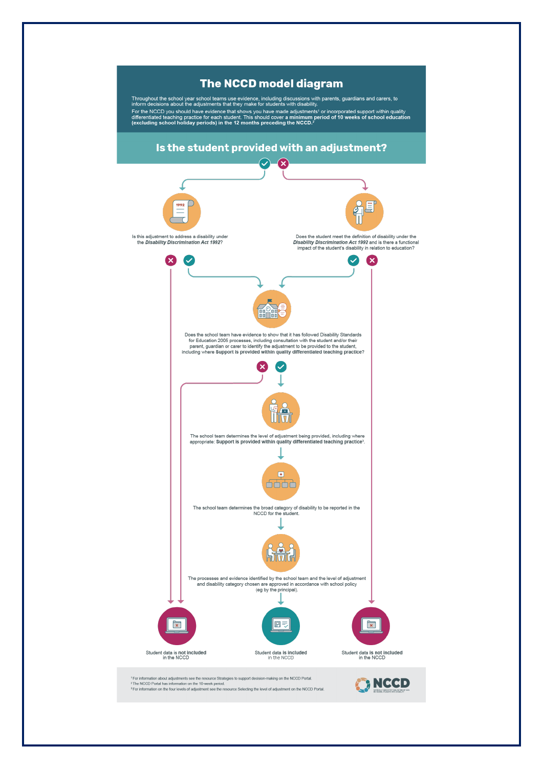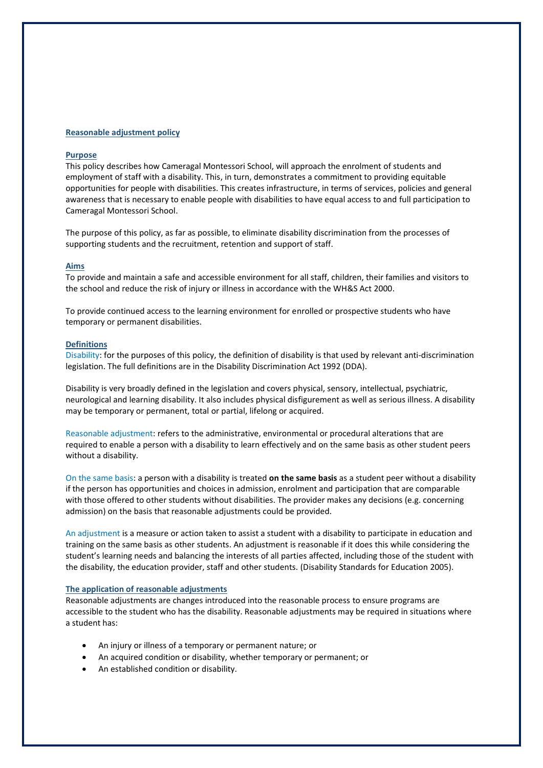#### **Reasonable adjustment policy**

#### **Purpose**

This policy describes how Cameragal Montessori School, will approach the enrolment of students and employment of staff with a disability. This, in turn, demonstrates a commitment to providing equitable opportunities for people with disabilities. This creates infrastructure, in terms of services, policies and general awareness that is necessary to enable people with disabilities to have equal access to and full participation to Cameragal Montessori School.

The purpose of this policy, as far as possible, to eliminate disability discrimination from the processes of supporting students and the recruitment, retention and support of staff.

## **Aims**

To provide and maintain a safe and accessible environment for all staff, children, their families and visitors to the school and reduce the risk of injury or illness in accordance with the WH&S Act 2000.

To provide continued access to the learning environment for enrolled or prospective students who have temporary or permanent disabilities.

#### **Definitions**

Disability: for the purposes of this policy, the definition of disability is that used by relevant anti-discrimination legislation. The full definitions are in the Disability Discrimination Act 1992 (DDA).

Disability is very broadly defined in the legislation and covers physical, sensory, intellectual, psychiatric, neurological and learning disability. It also includes physical disfigurement as well as serious illness. A disability may be temporary or permanent, total or partial, lifelong or acquired.

Reasonable adjustment: refers to the administrative, environmental or procedural alterations that are required to enable a person with a disability to learn effectively and on the same basis as other student peers without a disability.

On the same basis: a person with a disability is treated **on the same basis** as a student peer without a disability if the person has opportunities and choices in admission, enrolment and participation that are comparable with those offered to other students without disabilities. The provider makes any decisions (e.g. concerning admission) on the basis that reasonable adjustments could be provided.

An adjustment is a measure or action taken to assist a student with a disability to participate in education and training on the same basis as other students. An adjustment is reasonable if it does this while considering the student's learning needs and balancing the interests of all parties affected, including those of the student with the disability, the education provider, staff and other students. (Disability Standards for Education 2005).

## **The application of reasonable adjustments**

Reasonable adjustments are changes introduced into the reasonable process to ensure programs are accessible to the student who has the disability. Reasonable adjustments may be required in situations where a student has:

- An injury or illness of a temporary or permanent nature; or
- An acquired condition or disability, whether temporary or permanent; or
- An established condition or disability.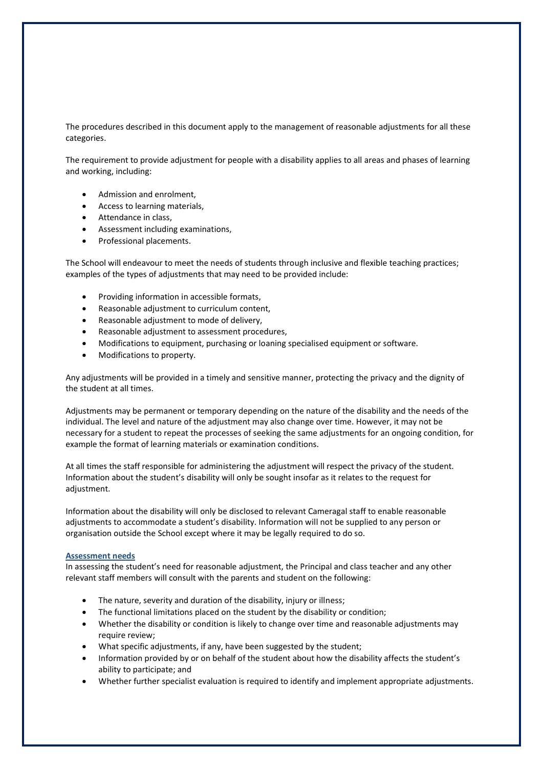The procedures described in this document apply to the management of reasonable adjustments for all these categories.

The requirement to provide adjustment for people with a disability applies to all areas and phases of learning and working, including:

- Admission and enrolment,
- Access to learning materials,
- Attendance in class,
- Assessment including examinations,
- Professional placements.

The School will endeavour to meet the needs of students through inclusive and flexible teaching practices; examples of the types of adjustments that may need to be provided include:

- Providing information in accessible formats,
- Reasonable adjustment to curriculum content,
- Reasonable adjustment to mode of delivery,
- Reasonable adjustment to assessment procedures,
- Modifications to equipment, purchasing or loaning specialised equipment or software.
- Modifications to property.

Any adjustments will be provided in a timely and sensitive manner, protecting the privacy and the dignity of the student at all times.

Adjustments may be permanent or temporary depending on the nature of the disability and the needs of the individual. The level and nature of the adjustment may also change over time. However, it may not be necessary for a student to repeat the processes of seeking the same adjustments for an ongoing condition, for example the format of learning materials or examination conditions.

At all times the staff responsible for administering the adjustment will respect the privacy of the student. Information about the student's disability will only be sought insofar as it relates to the request for adjustment.

Information about the disability will only be disclosed to relevant Cameragal staff to enable reasonable adjustments to accommodate a student's disability. Information will not be supplied to any person or organisation outside the School except where it may be legally required to do so.

#### **Assessment needs**

In assessing the student's need for reasonable adjustment, the Principal and class teacher and any other relevant staff members will consult with the parents and student on the following:

- The nature, severity and duration of the disability, injury or illness;
- The functional limitations placed on the student by the disability or condition;
- Whether the disability or condition is likely to change over time and reasonable adjustments may require review;
- What specific adjustments, if any, have been suggested by the student;
- Information provided by or on behalf of the student about how the disability affects the student's ability to participate; and
- Whether further specialist evaluation is required to identify and implement appropriate adjustments.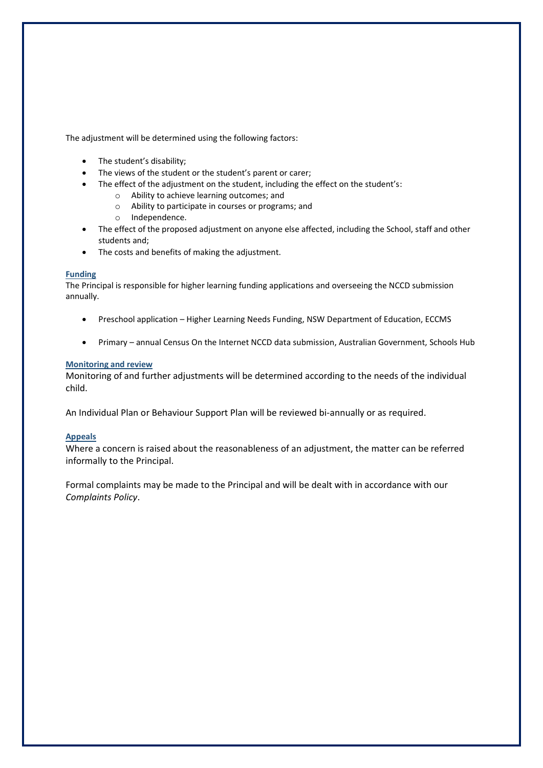The adjustment will be determined using the following factors:

- The student's disability;
- The views of the student or the student's parent or carer;
- The effect of the adjustment on the student, including the effect on the student's:
	- o Ability to achieve learning outcomes; and
	- o Ability to participate in courses or programs; and
	- o Independence.
- The effect of the proposed adjustment on anyone else affected, including the School, staff and other students and;
- The costs and benefits of making the adjustment.

# **Funding**

The Principal is responsible for higher learning funding applications and overseeing the NCCD submission annually.

- Preschool application Higher Learning Needs Funding, NSW Department of Education, ECCMS
- Primary annual Census On the Internet NCCD data submission, Australian Government, Schools Hub

# **Monitoring and review**

Monitoring of and further adjustments will be determined according to the needs of the individual child.

An Individual Plan or Behaviour Support Plan will be reviewed bi-annually or as required.

## **Appeals**

Where a concern is raised about the reasonableness of an adjustment, the matter can be referred informally to the Principal.

Formal complaints may be made to the Principal and will be dealt with in accordance with our *Complaints Policy*.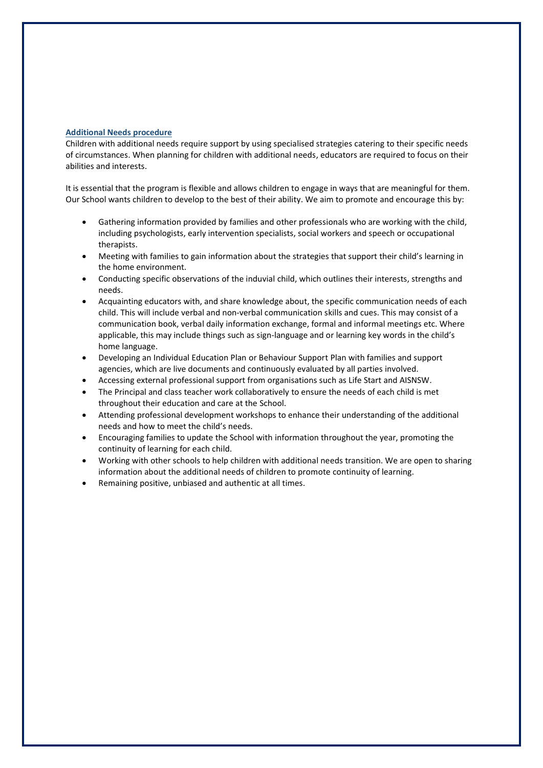## **Additional Needs procedure**

Children with additional needs require support by using specialised strategies catering to their specific needs of circumstances. When planning for children with additional needs, educators are required to focus on their abilities and interests.

It is essential that the program is flexible and allows children to engage in ways that are meaningful for them. Our School wants children to develop to the best of their ability. We aim to promote and encourage this by:

- Gathering information provided by families and other professionals who are working with the child, including psychologists, early intervention specialists, social workers and speech or occupational therapists.
- Meeting with families to gain information about the strategies that support their child's learning in the home environment.
- Conducting specific observations of the induvial child, which outlines their interests, strengths and needs.
- Acquainting educators with, and share knowledge about, the specific communication needs of each child. This will include verbal and non-verbal communication skills and cues. This may consist of a communication book, verbal daily information exchange, formal and informal meetings etc. Where applicable, this may include things such as sign-language and or learning key words in the child's home language.
- Developing an Individual Education Plan or Behaviour Support Plan with families and support agencies, which are live documents and continuously evaluated by all parties involved.
- Accessing external professional support from organisations such as Life Start and AISNSW.
- The Principal and class teacher work collaboratively to ensure the needs of each child is met throughout their education and care at the School.
- Attending professional development workshops to enhance their understanding of the additional needs and how to meet the child's needs.
- Encouraging families to update the School with information throughout the year, promoting the continuity of learning for each child.
- Working with other schools to help children with additional needs transition. We are open to sharing information about the additional needs of children to promote continuity of learning.
- Remaining positive, unbiased and authentic at all times.